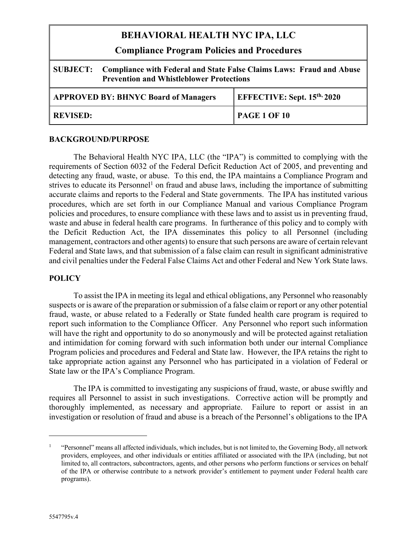# **BEHAVIORAL HEALTH NYC IPA, LLC**

| <b>Compliance Program Policies and Procedures</b>                                                                                          |                                         |
|--------------------------------------------------------------------------------------------------------------------------------------------|-----------------------------------------|
| Compliance with Federal and State False Claims Laws: Fraud and Abuse<br><b>SUBJECT:</b><br><b>Prevention and Whistleblower Protections</b> |                                         |
| <b>APPROVED BY: BHNYC Board of Managers</b>                                                                                                | EFFECTIVE: Sept. 15 <sup>th,</sup> 2020 |
| <b>REVISED:</b>                                                                                                                            | <b>PAGE 1 OF 10</b>                     |

#### **BACKGROUND/PURPOSE**

The Behavioral Health NYC IPA, LLC (the "IPA") is committed to complying with the requirements of Section 6032 of the Federal Deficit Reduction Act of 2005, and preventing and detecting any fraud, waste, or abuse. To this end, the IPA maintains a Compliance Program and strives to educate its Personnel<sup>1</sup> on fraud and abuse laws, including the importance of submitting accurate claims and reports to the Federal and State governments. The IPA has instituted various procedures, which are set forth in our Compliance Manual and various Compliance Program policies and procedures, to ensure compliance with these laws and to assist us in preventing fraud, waste and abuse in federal health care programs. In furtherance of this policy and to comply with the Deficit Reduction Act, the IPA disseminates this policy to all Personnel (including management, contractors and other agents) to ensure that such persons are aware of certain relevant Federal and State laws, and that submission of a false claim can result in significant administrative and civil penalties under the Federal False Claims Act and other Federal and New York State laws.

#### **POLICY**

To assist the IPA in meeting its legal and ethical obligations, any Personnel who reasonably suspects or is aware of the preparation or submission of a false claim or report or any other potential fraud, waste, or abuse related to a Federally or State funded health care program is required to report such information to the Compliance Officer. Any Personnel who report such information will have the right and opportunity to do so anonymously and will be protected against retaliation and intimidation for coming forward with such information both under our internal Compliance Program policies and procedures and Federal and State law. However, the IPA retains the right to take appropriate action against any Personnel who has participated in a violation of Federal or State law or the IPA's Compliance Program.

The IPA is committed to investigating any suspicions of fraud, waste, or abuse swiftly and requires all Personnel to assist in such investigations. Corrective action will be promptly and thoroughly implemented, as necessary and appropriate. Failure to report or assist in an investigation or resolution of fraud and abuse is a breach of the Personnel's obligations to the IPA

<sup>1</sup> "Personnel" means all affected individuals, which includes, but is not limited to, the Governing Body, all network providers, employees, and other individuals or entities affiliated or associated with the IPA (including, but not limited to, all contractors, subcontractors, agents, and other persons who perform functions or services on behalf of the IPA or otherwise contribute to a network provider's entitlement to payment under Federal health care programs).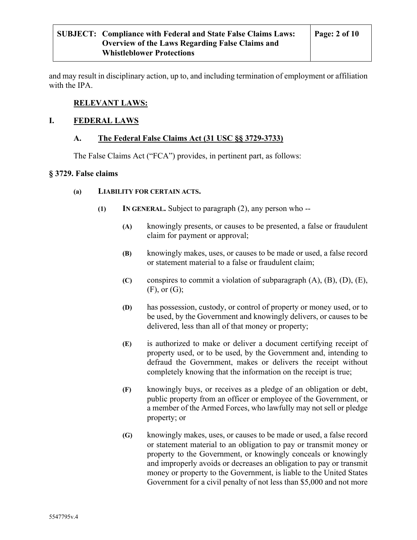and may result in disciplinary action, up to, and including termination of employment or affiliation with the IPA.

### **RELEVANT LAWS:**

### **I. FEDERAL LAWS**

#### **A. The Federal False Claims Act (31 USC §§ 3729-3733)**

The False Claims Act ("FCA") provides, in pertinent part, as follows:

#### **§ 3729. False claims**

#### **(a) LIABILITY FOR CERTAIN ACTS.**

- **(1) IN GENERAL.** Subject to paragraph (2), any person who --
	- **(A)** knowingly presents, or causes to be presented, a false or fraudulent claim for payment or approval;
	- **(B)** knowingly makes, uses, or causes to be made or used, a false record or statement material to a false or fraudulent claim;
	- **(C)** conspires to commit a violation of subparagraph (A), (B), (D), (E), (F), or (G);
	- **(D)** has possession, custody, or control of property or money used, or to be used, by the Government and knowingly delivers, or causes to be delivered, less than all of that money or property;
	- **(E)** is authorized to make or deliver a document certifying receipt of property used, or to be used, by the Government and, intending to defraud the Government, makes or delivers the receipt without completely knowing that the information on the receipt is true;
	- **(F)** knowingly buys, or receives as a pledge of an obligation or debt, public property from an officer or employee of the Government, or a member of the Armed Forces, who lawfully may not sell or pledge property; or
	- **(G)** knowingly makes, uses, or causes to be made or used, a false record or statement material to an obligation to pay or transmit money or property to the Government, or knowingly conceals or knowingly and improperly avoids or decreases an obligation to pay or transmit money or property to the Government, is liable to the United States Government for a civil penalty of not less than \$5,000 and not more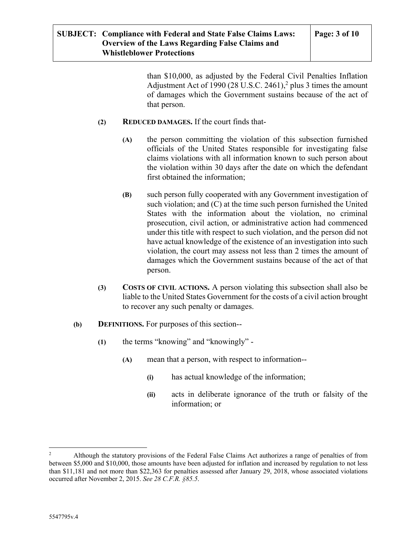than \$10,000, as adjusted by the Federal Civil Penalties Inflation Adjustment Act of 1990 (28 U.S.C. 2461),<sup>2</sup> plus 3 times the amount of damages which the Government sustains because of the act of that person.

- **(2) REDUCED DAMAGES.** If the court finds that-
	- **(A)** the person committing the violation of this subsection furnished officials of the United States responsible for investigating false claims violations with all information known to such person about the violation within 30 days after the date on which the defendant first obtained the information;
	- **(B)** such person fully cooperated with any Government investigation of such violation; and (C) at the time such person furnished the United States with the information about the violation, no criminal prosecution, civil action, or administrative action had commenced under this title with respect to such violation, and the person did not have actual knowledge of the existence of an investigation into such violation, the court may assess not less than 2 times the amount of damages which the Government sustains because of the act of that person.
- **(3) COSTS OF CIVIL ACTIONS.** A person violating this subsection shall also be liable to the United States Government for the costs of a civil action brought to recover any such penalty or damages.
- **(b) DEFINITIONS.** For purposes of this section--
	- **(1)** the terms "knowing" and "knowingly"
		- **(A)** mean that a person, with respect to information--
			- **(i)** has actual knowledge of the information;
			- **(ii)** acts in deliberate ignorance of the truth or falsity of the information; or

<sup>&</sup>lt;sup>2</sup> Although the statutory provisions of the Federal False Claims Act authorizes a range of penalties of from between \$5,000 and \$10,000, those amounts have been adjusted for inflation and increased by regulation to not less than \$11,181 and not more than \$22,363 for penalties assessed after January 29, 2018, whose associated violations occurred after November 2, 2015. *See 28 C.F.R. §85.5*.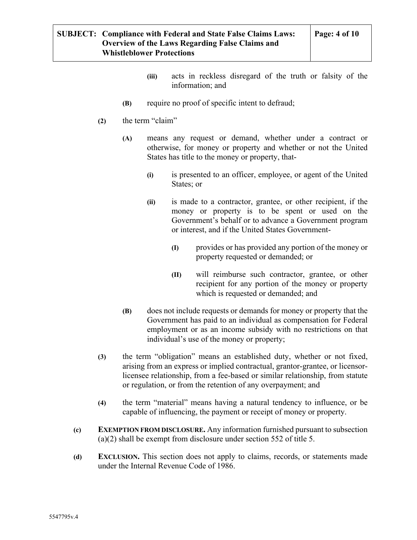- **(iii)** acts in reckless disregard of the truth or falsity of the information; and
- **(B)** require no proof of specific intent to defraud;
- **(2)** the term "claim"
	- **(A)** means any request or demand, whether under a contract or otherwise, for money or property and whether or not the United States has title to the money or property, that-
		- **(i)** is presented to an officer, employee, or agent of the United States; or
		- **(ii)** is made to a contractor, grantee, or other recipient, if the money or property is to be spent or used on the Government's behalf or to advance a Government program or interest, and if the United States Government-
			- **(I)** provides or has provided any portion of the money or property requested or demanded; or
			- **(II)** will reimburse such contractor, grantee, or other recipient for any portion of the money or property which is requested or demanded; and
	- **(B)** does not include requests or demands for money or property that the Government has paid to an individual as compensation for Federal employment or as an income subsidy with no restrictions on that individual's use of the money or property;
- **(3)** the term "obligation" means an established duty, whether or not fixed, arising from an express or implied contractual, grantor-grantee, or licensorlicensee relationship, from a fee-based or similar relationship, from statute or regulation, or from the retention of any overpayment; and
- **(4)** the term "material" means having a natural tendency to influence, or be capable of influencing, the payment or receipt of money or property.
- **(c) EXEMPTION FROM DISCLOSURE.** Any information furnished pursuant to subsection (a)(2) shall be exempt from disclosure under section 552 of title 5.
- **(d) EXCLUSION.** This section does not apply to claims, records, or statements made under the Internal Revenue Code of 1986.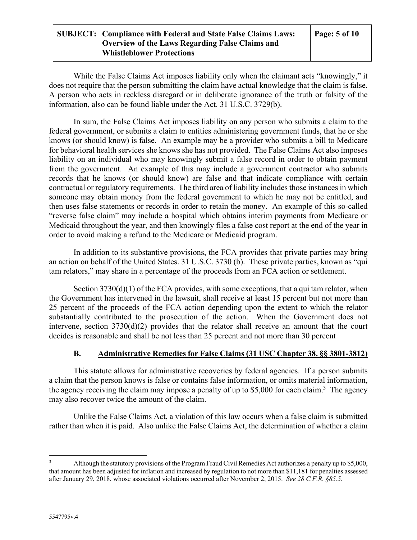# **SUBJECT: Compliance with Federal and State False Claims Laws: Overview of the Laws Regarding False Claims and Whistleblower Protections**

While the False Claims Act imposes liability only when the claimant acts "knowingly," it does not require that the person submitting the claim have actual knowledge that the claim is false. A person who acts in reckless disregard or in deliberate ignorance of the truth or falsity of the information, also can be found liable under the Act. 31 U.S.C. 3729(b).

In sum, the False Claims Act imposes liability on any person who submits a claim to the federal government, or submits a claim to entities administering government funds, that he or she knows (or should know) is false. An example may be a provider who submits a bill to Medicare for behavioral health services she knows she has not provided. The False Claims Act also imposes liability on an individual who may knowingly submit a false record in order to obtain payment from the government. An example of this may include a government contractor who submits records that he knows (or should know) are false and that indicate compliance with certain contractual or regulatory requirements. The third area of liability includes those instances in which someone may obtain money from the federal government to which he may not be entitled, and then uses false statements or records in order to retain the money. An example of this so-called "reverse false claim" may include a hospital which obtains interim payments from Medicare or Medicaid throughout the year, and then knowingly files a false cost report at the end of the year in order to avoid making a refund to the Medicare or Medicaid program.

In addition to its substantive provisions, the FCA provides that private parties may bring an action on behalf of the United States. 31 U.S.C. 3730 (b). These private parties, known as "qui tam relators," may share in a percentage of the proceeds from an FCA action or settlement.

Section 3730(d)(1) of the FCA provides, with some exceptions, that a qui tam relator, when the Government has intervened in the lawsuit, shall receive at least 15 percent but not more than 25 percent of the proceeds of the FCA action depending upon the extent to which the relator substantially contributed to the prosecution of the action. When the Government does not intervene, section 3730(d)(2) provides that the relator shall receive an amount that the court decides is reasonable and shall be not less than 25 percent and not more than 30 percent

# **B. Administrative Remedies for False Claims (31 USC Chapter 38. §§ 3801-3812)**

This statute allows for administrative recoveries by federal agencies. If a person submits a claim that the person knows is false or contains false information, or omits material information, the agency receiving the claim may impose a penalty of up to \$5,000 for each claim.<sup>3</sup> The agency may also recover twice the amount of the claim.

Unlike the False Claims Act, a violation of this law occurs when a false claim is submitted rather than when it is paid. Also unlike the False Claims Act, the determination of whether a claim

<sup>3</sup> Although the statutory provisions of the Program Fraud Civil Remedies Act authorizes a penalty up to \$5,000, that amount has been adjusted for inflation and increased by regulation to not more than \$11,181 for penalties assessed after January 29, 2018, whose associated violations occurred after November 2, 2015. *See 28 C.F.R. §85.5.*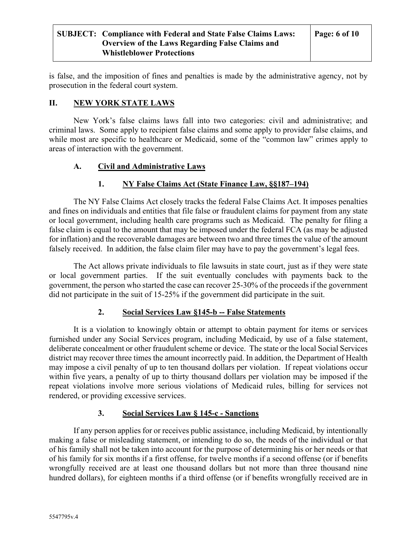is false, and the imposition of fines and penalties is made by the administrative agency, not by prosecution in the federal court system.

# **II. NEW YORK STATE LAWS**

New York's false claims laws fall into two categories: civil and administrative; and criminal laws. Some apply to recipient false claims and some apply to provider false claims, and while most are specific to healthcare or Medicaid, some of the "common law" crimes apply to areas of interaction with the government.

# **A. Civil and Administrative Laws**

# **1. NY False Claims Act (State Finance Law, §§187–194)**

The NY False Claims Act closely tracks the federal False Claims Act. It imposes penalties and fines on individuals and entities that file false or fraudulent claims for payment from any state or local government, including health care programs such as Medicaid. The penalty for filing a false claim is equal to the amount that may be imposed under the federal FCA (as may be adjusted for inflation) and the recoverable damages are between two and three times the value of the amount falsely received. In addition, the false claim filer may have to pay the government's legal fees.

The Act allows private individuals to file lawsuits in state court, just as if they were state or local government parties. If the suit eventually concludes with payments back to the government, the person who started the case can recover 25-30% of the proceeds if the government did not participate in the suit of 15-25% if the government did participate in the suit.

# **2. Social Services Law §145-b -- False Statements**

It is a violation to knowingly obtain or attempt to obtain payment for items or services furnished under any Social Services program, including Medicaid, by use of a false statement, deliberate concealment or other fraudulent scheme or device. The state or the local Social Services district may recover three times the amount incorrectly paid. In addition, the Department of Health may impose a civil penalty of up to ten thousand dollars per violation. If repeat violations occur within five years, a penalty of up to thirty thousand dollars per violation may be imposed if the repeat violations involve more serious violations of Medicaid rules, billing for services not rendered, or providing excessive services.

# **3. Social Services Law § 145-c - Sanctions**

If any person applies for or receives public assistance, including Medicaid, by intentionally making a false or misleading statement, or intending to do so, the needs of the individual or that of his family shall not be taken into account for the purpose of determining his or her needs or that of his family for six months if a first offense, for twelve months if a second offense (or if benefits wrongfully received are at least one thousand dollars but not more than three thousand nine hundred dollars), for eighteen months if a third offense (or if benefits wrongfully received are in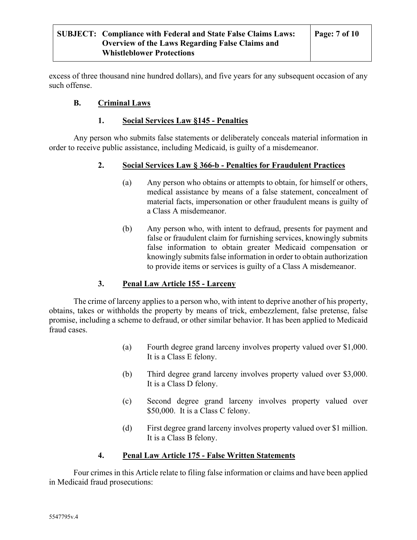excess of three thousand nine hundred dollars), and five years for any subsequent occasion of any such offense.

### **B. Criminal Laws**

### **1. Social Services Law §145 - Penalties**

Any person who submits false statements or deliberately conceals material information in order to receive public assistance, including Medicaid, is guilty of a misdemeanor.

### **2. Social Services Law § 366-b - Penalties for Fraudulent Practices**

- (a) Any person who obtains or attempts to obtain, for himself or others, medical assistance by means of a false statement, concealment of material facts, impersonation or other fraudulent means is guilty of a Class A misdemeanor.
- (b) Any person who, with intent to defraud, presents for payment and false or fraudulent claim for furnishing services, knowingly submits false information to obtain greater Medicaid compensation or knowingly submits false information in order to obtain authorization to provide items or services is guilty of a Class A misdemeanor.

#### **3. Penal Law Article 155 - Larceny**

The crime of larceny applies to a person who, with intent to deprive another of his property, obtains, takes or withholds the property by means of trick, embezzlement, false pretense, false promise, including a scheme to defraud, or other similar behavior. It has been applied to Medicaid fraud cases.

- (a) Fourth degree grand larceny involves property valued over \$1,000. It is a Class E felony.
- (b) Third degree grand larceny involves property valued over \$3,000. It is a Class D felony.
- (c) Second degree grand larceny involves property valued over \$50,000. It is a Class C felony.
- (d) First degree grand larceny involves property valued over \$1 million. It is a Class B felony.

### **4. Penal Law Article 175 - False Written Statements**

Four crimes in this Article relate to filing false information or claims and have been applied in Medicaid fraud prosecutions: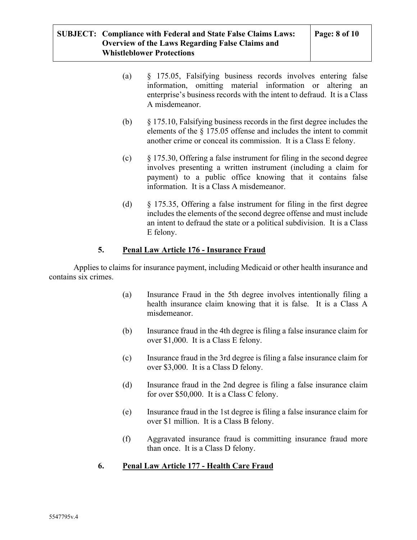- (a) § 175.05, Falsifying business records involves entering false information, omitting material information or altering an enterprise's business records with the intent to defraud. It is a Class A misdemeanor.
- (b) § 175.10, Falsifying business records in the first degree includes the elements of the § 175.05 offense and includes the intent to commit another crime or conceal its commission. It is a Class E felony.
- (c)  $\S$  175.30, Offering a false instrument for filing in the second degree involves presenting a written instrument (including a claim for payment) to a public office knowing that it contains false information. It is a Class A misdemeanor.
- (d) § 175.35, Offering a false instrument for filing in the first degree includes the elements of the second degree offense and must include an intent to defraud the state or a political subdivision. It is a Class E felony.

### **5. Penal Law Article 176 - Insurance Fraud**

Applies to claims for insurance payment, including Medicaid or other health insurance and contains six crimes.

- (a) Insurance Fraud in the 5th degree involves intentionally filing a health insurance claim knowing that it is false. It is a Class A misdemeanor.
- (b) Insurance fraud in the 4th degree is filing a false insurance claim for over \$1,000. It is a Class E felony.
- (c) Insurance fraud in the 3rd degree is filing a false insurance claim for over \$3,000. It is a Class D felony.
- (d) Insurance fraud in the 2nd degree is filing a false insurance claim for over \$50,000. It is a Class C felony.
- (e) Insurance fraud in the 1st degree is filing a false insurance claim for over \$1 million. It is a Class B felony.
- (f) Aggravated insurance fraud is committing insurance fraud more than once. It is a Class D felony.

# **6. Penal Law Article 177 - Health Care Fraud**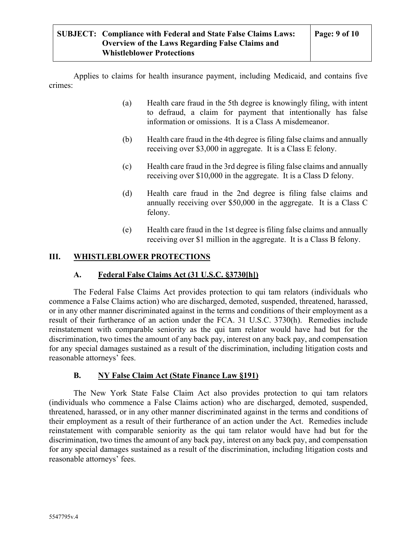Applies to claims for health insurance payment, including Medicaid, and contains five crimes:

- (a) Health care fraud in the 5th degree is knowingly filing, with intent to defraud, a claim for payment that intentionally has false information or omissions. It is a Class A misdemeanor.
- (b) Health care fraud in the 4th degree is filing false claims and annually receiving over \$3,000 in aggregate. It is a Class E felony.
- (c) Health care fraud in the 3rd degree is filing false claims and annually receiving over \$10,000 in the aggregate. It is a Class D felony.
- (d) Health care fraud in the 2nd degree is filing false claims and annually receiving over \$50,000 in the aggregate. It is a Class C felony.
- (e) Health care fraud in the 1st degree is filing false claims and annually receiving over \$1 million in the aggregate. It is a Class B felony.

### **III. WHISTLEBLOWER PROTECTIONS**

#### **A. Federal False Claims Act (31 U.S.C. §3730[h])**

The Federal False Claims Act provides protection to qui tam relators (individuals who commence a False Claims action) who are discharged, demoted, suspended, threatened, harassed, or in any other manner discriminated against in the terms and conditions of their employment as a result of their furtherance of an action under the FCA. 31 U.S.C. 3730(h). Remedies include reinstatement with comparable seniority as the qui tam relator would have had but for the discrimination, two times the amount of any back pay, interest on any back pay, and compensation for any special damages sustained as a result of the discrimination, including litigation costs and reasonable attorneys' fees.

#### **B. NY False Claim Act (State Finance Law §191)**

The New York State False Claim Act also provides protection to qui tam relators (individuals who commence a False Claims action) who are discharged, demoted, suspended, threatened, harassed, or in any other manner discriminated against in the terms and conditions of their employment as a result of their furtherance of an action under the Act. Remedies include reinstatement with comparable seniority as the qui tam relator would have had but for the discrimination, two times the amount of any back pay, interest on any back pay, and compensation for any special damages sustained as a result of the discrimination, including litigation costs and reasonable attorneys' fees.